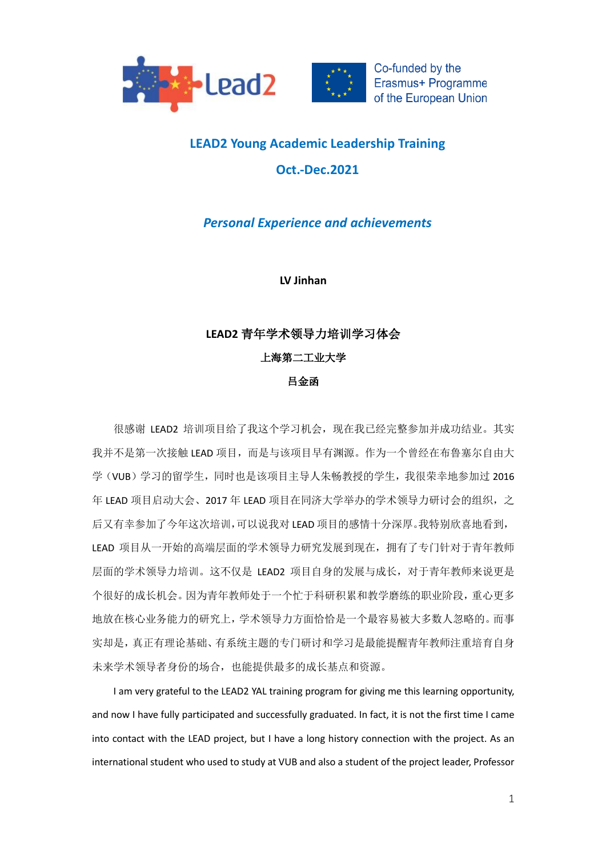



# **LEAD2 Young Academic Leadership Training Oct.-Dec.2021**

## *Personal Experience and achievements*

**LV Jinhan**

## **LEAD2** 青年学术领导力培训学习体会

上海第二工业大学

### 吕金函

很感谢 LEAD2 培训项目给了我这个学习机会,现在我已经完整参加并成功结业。其实 我并不是第一次接触 LEAD 项目,而是与该项目早有渊源。作为一个曾经在布鲁塞尔自由大 学(VUB)学习的留学生,同时也是该项目主导人朱畅教授的学生,我很荣幸地参加过 2016 年 LEAD 项目启动大会、2017 年 LEAD 项目在同济大学举办的学术领导力研讨会的组织,之 后又有幸参加了今年这次培训,可以说我对 LEAD 项目的感情十分深厚。我特别欣喜地看到, LEAD 项目从一开始的高端层面的学术领导力研究发展到现在,拥有了专门针对于青年教师 层面的学术领导力培训。这不仅是 LEAD2 项目自身的发展与成长,对于青年教师来说更是 个很好的成长机会。因为青年教师处于一个忙于科研积累和教学磨练的职业阶段,重心更多 地放在核心业务能力的研究上,学术领导力方面恰恰是一个最容易被大多数人忽略的。而事 实却是,真正有理论基础、有系统主题的专门研讨和学习是最能提醒青年教师注重培育自身 未来学术领导者身份的场合,也能提供最多的成长基点和资源。

I am very grateful to the LEAD2 YAL training program for giving me this learning opportunity, and now I have fully participated and successfully graduated. In fact, it is not the first time I came into contact with the LEAD project, but I have a long history connection with the project. As an international student who used to study at VUB and also a student of the project leader, Professor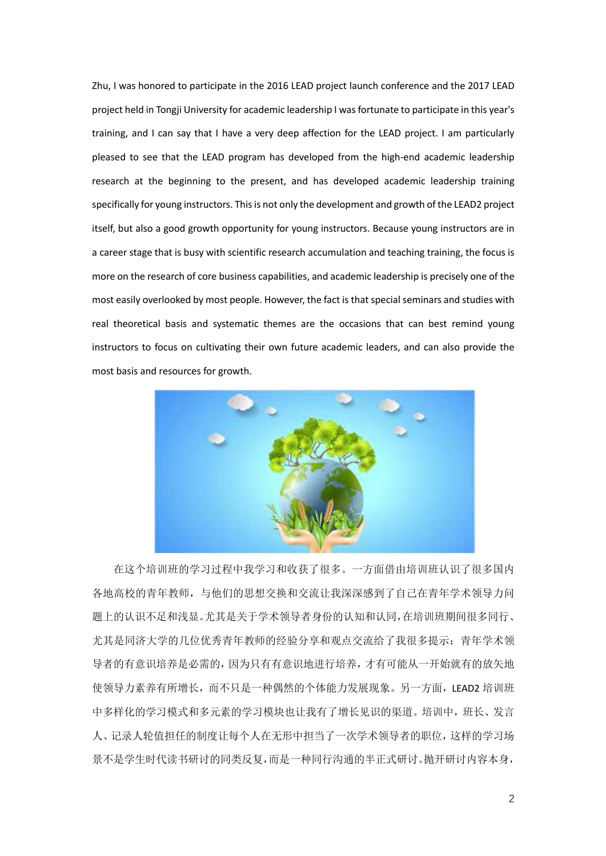Zhu, I was honored to participate in the 2016 LEAD project launch conference and the 2017 LEAD project held in Tongji University for academic leadership I was fortunate to participate in this year's training, and I can say that I have a very deep affection for the LEAD project. I am particularly pleased to see that the LEAD program has developed from the high-end academic leadership research at the beginning to the present, and has developed academic leadership training specifically for young instructors. This is not only the development and growth of the LEAD2 project itself, but also a good growth opportunity for young instructors. Because young instructors are in a career stage that is busy with scientific research accumulation and teaching training, the focus is more on the research of core business capabilities, and academic leadership is precisely one of the most easily overlooked by most people. However, the fact is that special seminars and studies with real theoretical basis and systematic themes are the occasions that can best remind young instructors to focus on cultivating their own future academic leaders, and can also provide the most basis and resources for growth.



在这个培训班的学习过程中我学习和收获了很多。一方面借由培训班认识了很多国内 各地高校的青年教师,与他们的思想交换和交流让我深深感到了自己在青年学术领导力问 题上的认识不足和浅显。尤其是关于学术领导者身份的认知和认同,在培训班期间很多同行、 尤其是同济大学的几位优秀青年教师的经验分享和观点交流给了我很多提示:青年学术领 导者的有意识培养是必需的,因为只有有意识地进行培养,才有可能从一开始就有的放矢地 使领导力素养有所增长,而不只是一种偶然的个体能力发展现象。另一方面,LEAD2 培训班 中多样化的学习模式和多元素的学习模块也让我有了增长见识的渠道。培训中,班长、发言 人、记录人轮值担任的制度让每个人在无形中担当了一次学术领导者的职位,这样的学习场 景不是学生时代读书研讨的同类反复,而是一种同行沟通的半正式研讨。抛开研讨内容本身,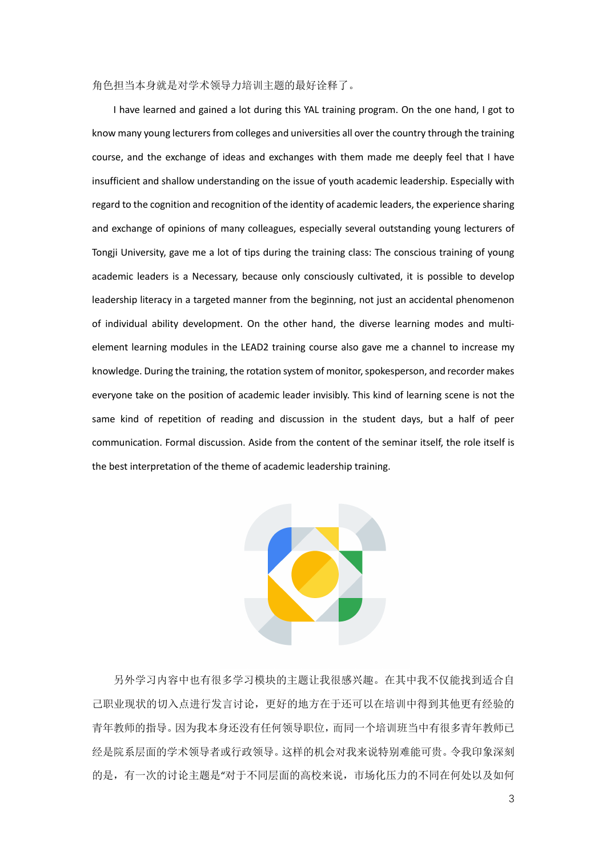#### 角色担当本身就是对学术领导力培训主题的最好诠释了。

I have learned and gained a lot during this YAL training program. On the one hand, I got to know many young lecturers from colleges and universities all over the country through the training course, and the exchange of ideas and exchanges with them made me deeply feel that I have insufficient and shallow understanding on the issue of youth academic leadership. Especially with regard to the cognition and recognition of the identity of academic leaders, the experience sharing and exchange of opinions of many colleagues, especially several outstanding young lecturers of Tongji University, gave me a lot of tips during the training class: The conscious training of young academic leaders is a Necessary, because only consciously cultivated, it is possible to develop leadership literacy in a targeted manner from the beginning, not just an accidental phenomenon of individual ability development. On the other hand, the diverse learning modes and multielement learning modules in the LEAD2 training course also gave me a channel to increase my knowledge. During the training, the rotation system of monitor, spokesperson, and recorder makes everyone take on the position of academic leader invisibly. This kind of learning scene is not the same kind of repetition of reading and discussion in the student days, but a half of peer communication. Formal discussion. Aside from the content of the seminar itself, the role itself is the best interpretation of the theme of academic leadership training.



另外学习内容中也有很多学习模块的主题让我很感兴趣。在其中我不仅能找到适合自 己职业现状的切入点进行发言讨论,更好的地方在于还可以在培训中得到其他更有经验的 青年教师的指导。因为我本身还没有任何领导职位,而同一个培训班当中有很多青年教师已 经是院系层面的学术领导者或行政领导。这样的机会对我来说特别难能可贵。令我印象深刻 的是,有一次的讨论主题是"对于不同层面的高校来说,市场化压力的不同在何处以及如何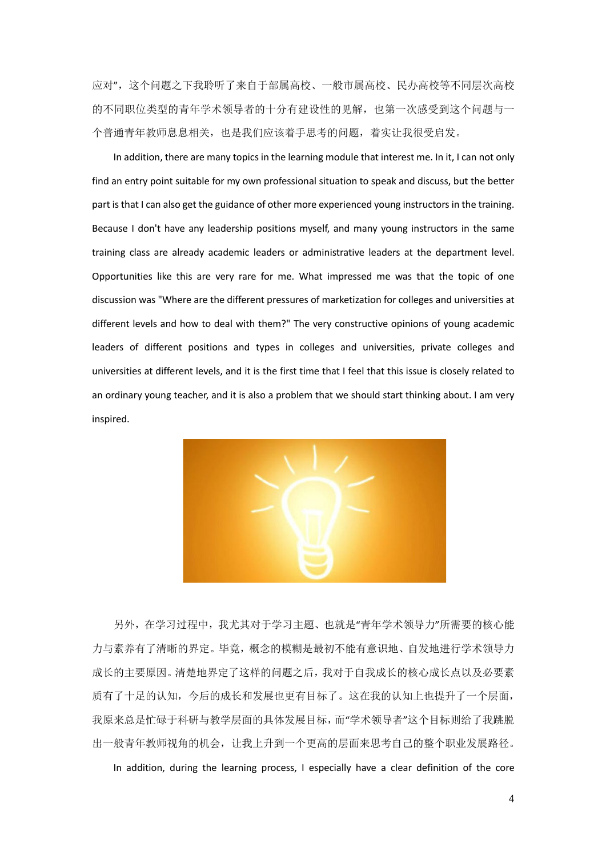应对",这个问题之下我聆听了来自于部属高校、一般市属高校、民办高校等不同层次高校 的不同职位类型的青年学术领导者的十分有建设性的见解,也第一次感受到这个问题与一 个普通青年教师息息相关,也是我们应该着手思考的问题,着实让我很受启发。

In addition, there are many topics in the learning module that interest me. In it, I can not only find an entry point suitable for my own professional situation to speak and discuss, but the better part is that I can also get the guidance of other more experienced young instructors in the training. Because I don't have any leadership positions myself, and many young instructors in the same training class are already academic leaders or administrative leaders at the department level. Opportunities like this are very rare for me. What impressed me was that the topic of one discussion was "Where are the different pressures of marketization for colleges and universities at different levels and how to deal with them?" The very constructive opinions of young academic leaders of different positions and types in colleges and universities, private colleges and universities at different levels, and it is the first time that I feel that this issue is closely related to an ordinary young teacher, and it is also a problem that we should start thinking about. I am very inspired.



另外,在学习过程中,我尤其对于学习主题、也就是"青年学术领导力"所需要的核心能 力与素养有了清晰的界定。毕竟,概念的模糊是最初不能有意识地、自发地进行学术领导力 成长的主要原因。清楚地界定了这样的问题之后,我对于自我成长的核心成长点以及必要素 质有了十足的认知,今后的成长和发展也更有目标了。这在我的认知上也提升了一个层面, 我原来总是忙碌于科研与教学层面的具体发展目标,而"学术领导者"这个目标则给了我跳脱 出一般青年教师视角的机会,让我上升到一个更高的层面来思考自己的整个职业发展路径。

In addition, during the learning process, I especially have a clear definition of the core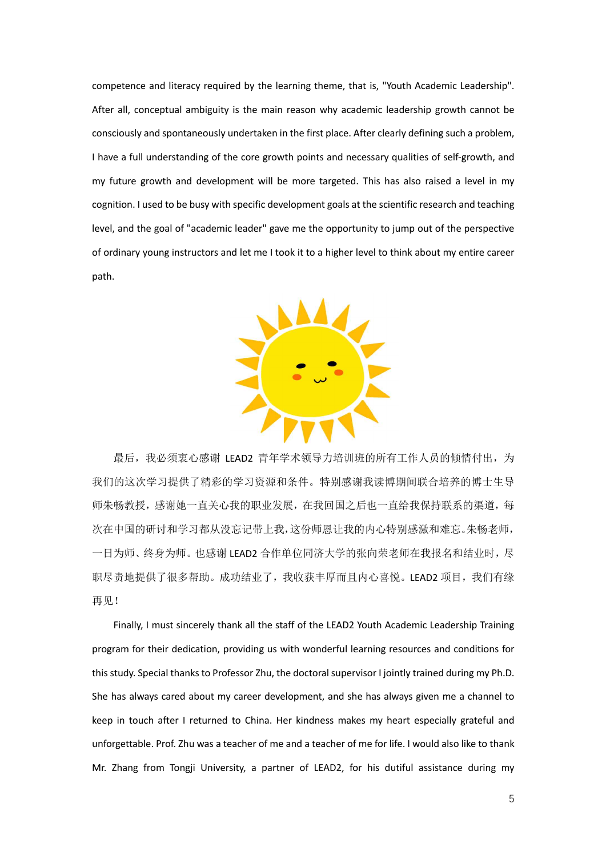competence and literacy required by the learning theme, that is, "Youth Academic Leadership". After all, conceptual ambiguity is the main reason why academic leadership growth cannot be consciously and spontaneously undertaken in the first place. After clearly defining such a problem, I have a full understanding of the core growth points and necessary qualities of self-growth, and my future growth and development will be more targeted. This has also raised a level in my cognition. I used to be busy with specific development goals at the scientific research and teaching level, and the goal of "academic leader" gave me the opportunity to jump out of the perspective of ordinary young instructors and let me I took it to a higher level to think about my entire career path.



最后,我必须衷心感谢 LEAD2 青年学术领导力培训班的所有工作人员的倾情付出,为 我们的这次学习提供了精彩的学习资源和条件。特别感谢我读博期间联合培养的博士生导 师朱畅教授,感谢她一直关心我的职业发展,在我回国之后也一直给我保持联系的渠道,每 次在中国的研讨和学习都从没忘记带上我,这份师恩让我的内心特别感激和难忘。朱畅老师, 一日为师、终身为师。也感谢 LEAD2 合作单位同济大学的张向荣老师在我报名和结业时,尽 职尽责地提供了很多帮助。成功结业了,我收获丰厚而且内心喜悦。LEAD2 项目,我们有缘 再见!

Finally, I must sincerely thank all the staff of the LEAD2 Youth Academic Leadership Training program for their dedication, providing us with wonderful learning resources and conditions for this study. Special thanks to Professor Zhu, the doctoral supervisor I jointly trained during my Ph.D. She has always cared about my career development, and she has always given me a channel to keep in touch after I returned to China. Her kindness makes my heart especially grateful and unforgettable. Prof. Zhu was a teacher of me and a teacher of me for life. I would also like to thank Mr. Zhang from Tongji University, a partner of LEAD2, for his dutiful assistance during my